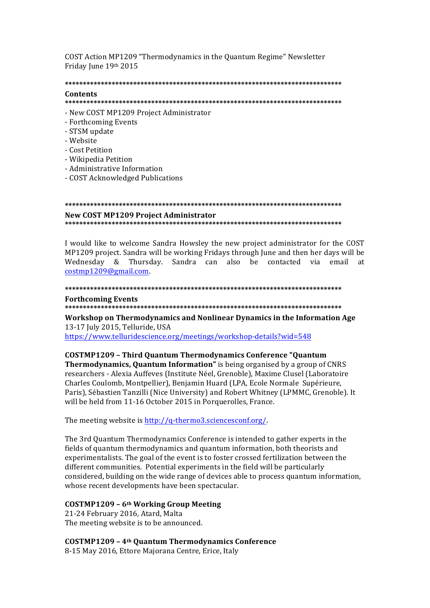COST Action MP1209 "Thermodynamics in the Quantum Regime" Newsletter Friday June 19th 2015

# 

#### Contents

#### 

- New COST MP1209 Project Administrator
- Forthcoming Events
- STSM update
- Website
- Cost Petition
- Wikipedia Petition
- Administrative Information
- COST Acknowledged Publications

#### **New COST MP1209 Project Administrator**

I would like to welcome Sandra Howsley the new project administrator for the COST MP1209 project. Sandra will be working Fridays through June and then her days will be Wednesday & Thursday. Sandra can also be contacted via email at  $costmp1209@gmail.com$ 

#### 

#### **Forthcoming Events**

Workshop on Thermodynamics and Nonlinear Dynamics in the Information Age 13-17 July 2015, Telluride, USA

https://www.telluridescience.org/meetings/workshop-details?wid=548

**COSTMP1209 - Third Quantum Thermodynamics Conference "Quantum Thermodynamics, Quantum Information"** is being organised by a group of CNRS researchers - Alexia Auffeves (Institute Néel, Grenoble), Maxime Clusel (Laboratoire Charles Coulomb, Montpellier), Benjamin Huard (LPA, Ecole Normale Supérieure, Paris), Sébastien Tanzilli (Nice University) and Robert Whitney (LPMMC, Grenoble). It will be held from 11-16 October 2015 in Porquerolles, France.

The meeting website is http://q-thermo3.sciencesconf.org/.

The 3rd Quantum Thermodynamics Conference is intended to gather experts in the fields of quantum thermodynamics and quantum information, both theorists and experimentalists. The goal of the event is to foster crossed fertilization between the different communities. Potential experiments in the field will be particularly considered, building on the wide range of devices able to process quantum information, whose recent developments have been spectacular.

#### COSTMP1209 - 6<sup>th</sup> Working Group Meeting

21-24 February 2016, Atard, Malta The meeting website is to be announced.

**COSTMP1209 - 4th Quantum Thermodynamics Conference** 

8-15 May 2016, Ettore Majorana Centre, Erice, Italy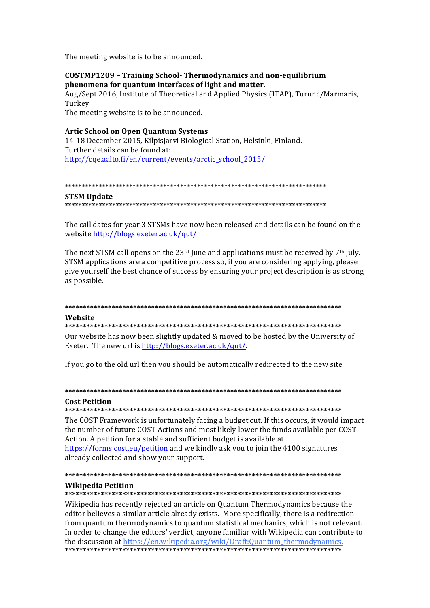The meeting website is to be announced.

## COSTMP1209 - Training School- Thermodynamics and non-equilibrium phenomena for quantum interfaces of light and matter.

Aug/Sept 2016, Institute of Theoretical and Applied Physics (ITAP), Turunc/Marmaris, Turkey

The meeting website is to be announced.

## **Artic School on Open Quantum Systems**

14-18 December 2015, Kilpisjarvi Biological Station, Helsinki, Finland. Further details can be found at: http://cqe.aalto.fi/en/current/events/arctic\_school\_2015/

#### 

#### **STSM Update**

The call dates for year 3 STSMs have now been released and details can be found on the website http://blogs.exeter.ac.uk/qut/

The next STSM call opens on the 23<sup>rd</sup> June and applications must be received by 7<sup>th</sup> July. STSM applications are a competitive process so, if you are considering applying, please give vourself the best chance of success by ensuring your project description is as strong as possible.

## Wehsite

#### 

Our website has now been slightly updated & moved to be hosted by the University of Exeter. The new url is http://blogs.exeter.ac.uk/qut/.

If you go to the old url then you should be automatically redirected to the new site.

## **Cost Petition**

#### 

The COST Framework is unfortunately facing a budget cut. If this occurs, it would impact the number of future COST Actions and most likely lower the funds available per COST Action. A petition for a stable and sufficient budget is available at https://forms.cost.eu/petition and we kindly ask you to join the 4100 signatures already collected and show your support.

## **Wikipedia Petition**

#### 

Wikipedia has recently rejected an article on Quantum Thermodynamics because the editor believes a similar article already exists. More specifically, there is a redirection from quantum thermodynamics to quantum statistical mechanics, which is not relevant. In order to change the editors' verdict, anyone familiar with Wikipedia can contribute to the discussion at https://en.wikipedia.org/wiki/Draft:0uantum\_thermodynamics.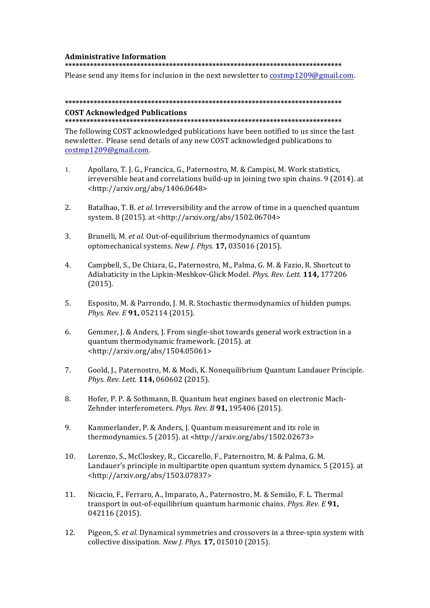#### **Administrative Information**

**\*\*\*\*\*\*\*\*\*\*\*\*\*\*\*\*\*\*\*\*\*\*\*\*\*\*\*\*\*\*\*\*\*\*\*\*\*\*\*\*\*\*\*\*\*\*\*\*\*\*\*\*\*\*\*\*\*\*\*\*\*\*\*\*\*\*\*\*\*\*\*\*\*\*\*\*\***

Please send any items for inclusion in the next newsletter to  $\frac{\text{cosim}}{209\text{ g}}$  mail.com.

## **\*\*\*\*\*\*\*\*\*\*\*\*\*\*\*\*\*\*\*\*\*\*\*\*\*\*\*\*\*\*\*\*\*\*\*\*\*\*\*\*\*\*\*\*\*\*\*\*\*\*\*\*\*\*\*\*\*\*\*\*\*\*\*\*\*\*\*\*\*\*\*\*\*\*\*\*\* COST Acknowledged Publications**

#### **\*\*\*\*\*\*\*\*\*\*\*\*\*\*\*\*\*\*\*\*\*\*\*\*\*\*\*\*\*\*\*\*\*\*\*\*\*\*\*\*\*\*\*\*\*\*\*\*\*\*\*\*\*\*\*\*\*\*\*\*\*\*\*\*\*\*\*\*\*\*\*\*\*\*\*\*\***

The following COST acknowledged publications have been notified to us since the last newsletter. Please send details of any new COST acknowledged publications to costmp1209@gmail.com.

- 1. Apollaro, T. J. G., Francica, G., Paternostro, M. & Campisi, M. Work statistics, irreversible heat and correlations build-up in joining two spin chains.  $9(2014)$ . at <http://arxiv.org/abs/1406.0648>
- 2. Batalhao, T. B. *et al.* Irreversibility and the arrow of time in a quenched quantum system. 8 (2015). at <http://arxiv.org/abs/1502.06704>
- 3. Brunelli, M. *et al.* Out-of-equilibrium thermodynamics of quantum optomechanical systems. *New J. Phys.* **17,** 035016 (2015).
- 4. Campbell, S., De Chiara, G., Paternostro, M., Palma, G. M. & Fazio, R. Shortcut to Adiabaticity in the Lipkin-Meshkov-Glick Model. Phys. Rev. Lett. 114, 177206 (2015).
- 5. Esposito, M. & Parrondo, J. M. R. Stochastic thermodynamics of hidden pumps. *Phys. Rev. E* **91,** 052114 (2015).
- 6. Gemmer, J. & Anders, J. From single-shot towards general work extraction in a quantum thermodynamic framework. (2015). at <http://arxiv.org/abs/1504.05061>
- 7. Goold, J., Paternostro, M. & Modi, K. Nonequilibrium Quantum Landauer Principle. *Phys. Rev. Lett.* **114,** 060602 (2015).
- 8. Hofer, P. P. & Sothmann, B. Quantum heat engines based on electronic Mach-Zehnder interferometers. *Phys. Rev. B* 91, 195406 (2015).
- 9. Kammerlander, P. & Anders, J. Quantum measurement and its role in thermodynamics.  $5(2015)$ . at <http://arxiv.org/abs/1502.02673>
- 10. Lorenzo, S., McCloskey, R., Ciccarello, F., Paternostro, M. & Palma, G. M. Landauer's principle in multipartite open quantum system dynamics. 5 (2015). at <http://arxiv.org/abs/1503.07837>
- 11. Nicacio, F., Ferraro, A., Imparato, A., Paternostro, M. & Semião, F. L. Thermal transport in out-of-equilibrium quantum harmonic chains. *Phys. Rev. E* 91, 042116 (2015).
- 12. Pigeon, S. *et al.* Dynamical symmetries and crossovers in a three-spin system with collective dissipation. *New J. Phys.* **17,** 015010 (2015).